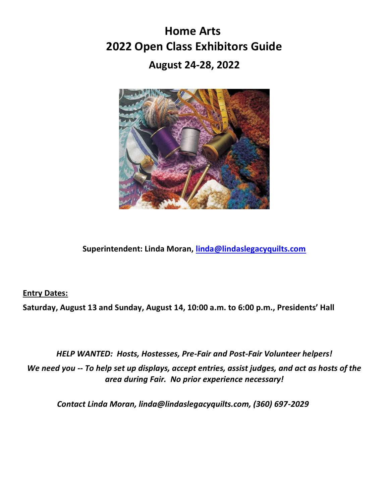# **Home Arts 2022 Open Class Exhibitors Guide**

**August 24-28, 2022**



**Superintendent: Linda Moran, [linda@lindaslegacyquilts.com](mailto:linda@lindaslegacyquilts.com)**

**Entry Dates:**

**Saturday, August 13 and Sunday, August 14, 10:00 a.m. to 6:00 p.m., Presidents' Hall**

*HELP WANTED: Hosts, Hostesses, Pre-Fair and Post-Fair Volunteer helpers! We need you -- To help set up displays, accept entries, assist judges, and act as hosts of the area during Fair. No prior experience necessary!*

*Contact Linda Moran, linda@lindaslegacyquilts.com, (360) 697-2029*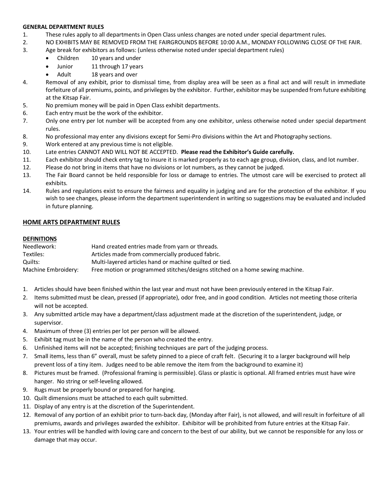#### **GENERAL DEPARTMENT RULES**

- 1. These rules apply to all departments in Open Class unless changes are noted under special department rules.
- 2. NO EXHIBITS MAY BE REMOVED FROM THE FAIRGROUNDS BEFORE 10:00 A.M., MONDAY FOLLOWING CLOSE OF THE FAIR.
- 3. Age break for exhibitors as follows: (unless otherwise noted under special department rules)
	- Children 10 years and under
	- Junior 11 through 17 years
	- Adult 18 years and over
- 4. Removal of any exhibit, prior to dismissal time, from display area will be seen as a final act and will result in immediate forfeiture of all premiums, points, and privileges by the exhibitor. Further, exhibitor may be suspended from future exhibiting at the Kitsap Fair.
- 5. No premium money will be paid in Open Class exhibit departments.
- 6. Each entry must be the work of the exhibitor.
- 7. Only one entry per lot number will be accepted from any one exhibitor, unless otherwise noted under special department rules.
- 8. No professional may enter any divisions except for Semi-Pro divisions within the Art and Photography sections.
- 9. Work entered at any previous time is not eligible.
- 10. Late entries CANNOT AND WILL NOT BE ACCEPTED. **Please read the Exhibitor's Guide carefully.**
- 11. Each exhibitor should check entry tag to insure it is marked properly as to each age group, division, class, and lot number.
- 12. Please do not bring in items that have no divisions or lot numbers, as they cannot be judged.
- 13. The Fair Board cannot be held responsible for loss or damage to entries. The utmost care will be exercised to protect all exhibits.
- 14. Rules and regulations exist to ensure the fairness and equality in judging and are for the protection of the exhibitor. If you wish to see changes, please inform the department superintendent in writing so suggestions may be evaluated and included in future planning.

#### **HOME ARTS DEPARTMENT RULES**

#### **DEFINITIONS**

| Needlework:         | Hand created entries made from yarn or threads.                               |
|---------------------|-------------------------------------------------------------------------------|
| Textiles:           | Articles made from commercially produced fabric.                              |
| Quilts:             | Multi-layered articles hand or machine quilted or tied.                       |
| Machine Embroidery: | Free motion or programmed stitches/designs stitched on a home sewing machine. |

- 1. Articles should have been finished within the last year and must not have been previously entered in the Kitsap Fair.
- 2. Items submitted must be clean, pressed (if appropriate), odor free, and in good condition. Articles not meeting those criteria will not be accepted.
- 3. Any submitted article may have a department/class adjustment made at the discretion of the superintendent, judge, or supervisor.
- 4. Maximum of three (3) entries per lot per person will be allowed.
- 5. Exhibit tag must be in the name of the person who created the entry.
- 6. Unfinished items will not be accepted; finishing techniques are part of the judging process.
- 7. Small items, less than 6" overall, must be safety pinned to a piece of craft felt. (Securing it to a larger background will help prevent loss of a tiny item. Judges need to be able remove the item from the background to examine it)
- 8. Pictures must be framed. (Professional framing is permissible). Glass or plastic is optional. All framed entries must have wire hanger. No string or self-leveling allowed.
- 9. Rugs must be properly bound or prepared for hanging.
- 10. Quilt dimensions must be attached to each quilt submitted.
- 11. Display of any entry is at the discretion of the Superintendent.
- 12. Removal of any portion of an exhibit prior to turn-back day, (Monday after Fair), is not allowed, and will result in forfeiture of all premiums, awards and privileges awarded the exhibitor. Exhibitor will be prohibited from future entries at the Kitsap Fair.
- 13. Your entries will be handled with loving care and concern to the best of our ability, but we cannot be responsible for any loss or damage that may occur.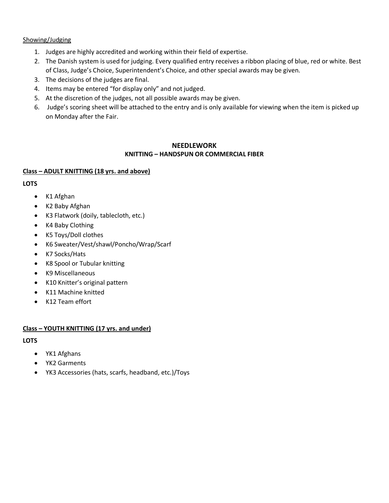#### Showing/Judging

- 1. Judges are highly accredited and working within their field of expertise.
- 2. The Danish system is used for judging. Every qualified entry receives a ribbon placing of blue, red or white. Best of Class, Judge's Choice, Superintendent's Choice, and other special awards may be given.
- 3. The decisions of the judges are final.
- 4. Items may be entered "for display only" and not judged.
- 5. At the discretion of the judges, not all possible awards may be given.
- 6. Judge's scoring sheet will be attached to the entry and is only available for viewing when the item is picked up on Monday after the Fair.

#### **NEEDLEWORK**

#### **KNITTING – HANDSPUN OR COMMERCIAL FIBER**

#### **Class – ADULT KNITTING (18 yrs. and above)**

#### **LOTS**

- K1 Afghan
- K2 Baby Afghan
- K3 Flatwork (doily, tablecloth, etc.)
- K4 Baby Clothing
- K5 Toys/Doll clothes
- K6 Sweater/Vest/shawl/Poncho/Wrap/Scarf
- K7 Socks/Hats
- K8 Spool or Tubular knitting
- K9 Miscellaneous
- K10 Knitter's original pattern
- K11 Machine knitted
- K12 Team effort

#### **Class – YOUTH KNITTING (17 yrs. and under)**

- YK1 Afghans
- YK2 Garments
- YK3 Accessories (hats, scarfs, headband, etc.)/Toys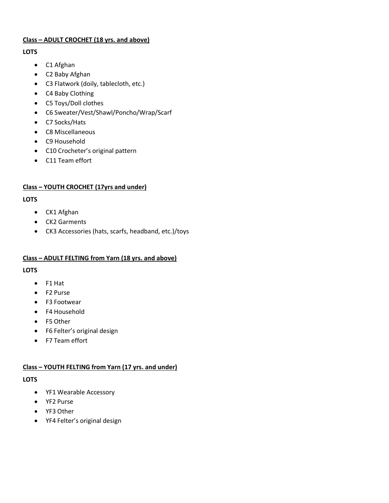#### **Class – ADULT CROCHET (18 yrs. and above)**

#### **LOTS**

- C1 Afghan
- C2 Baby Afghan
- C3 Flatwork (doily, tablecloth, etc.)
- C4 Baby Clothing
- C5 Toys/Doll clothes
- C6 Sweater/Vest/Shawl/Poncho/Wrap/Scarf
- C7 Socks/Hats
- C8 Miscellaneous
- C9 Household
- C10 Crocheter's original pattern
- C11 Team effort

# **Class – YOUTH CROCHET (17yrs and under)**

#### **LOTS**

- CK1 Afghan
- CK2 Garments
- CK3 Accessories (hats, scarfs, headband, etc.)/toys

# **Class – ADULT FELTING from Yarn (18 yrs. and above)**

# **LOTS**

- F1 Hat
- F2 Purse
- F3 Footwear
- F4 Household
- F5 Other
- F6 Felter's original design
- F7 Team effort

# **Class – YOUTH FELTING from Yarn (17 yrs. and under)**

- YF1 Wearable Accessory
- YF2 Purse
- YF3 Other
- YF4 Felter's original design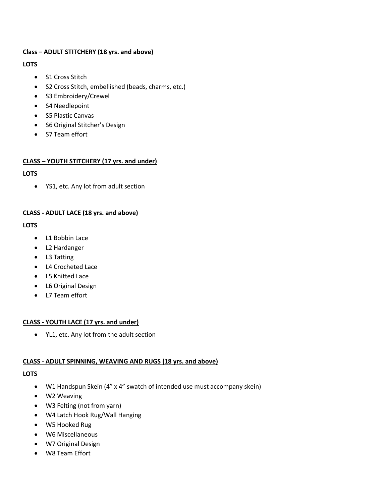#### **Class – ADULT STITCHERY (18 yrs. and above)**

#### **LOTS**

- S1 Cross Stitch
- S2 Cross Stitch, embellished (beads, charms, etc.)
- S3 Embroidery/Crewel
- S4 Needlepoint
- S5 Plastic Canvas
- S6 Original Stitcher's Design
- S7 Team effort

# **CLASS – YOUTH STITCHERY (17 yrs. and under)**

#### **LOTS**

• YS1, etc. Any lot from adult section

# **CLASS - ADULT LACE (18 yrs. and above)**

#### **LOTS**

- L1 Bobbin Lace
- L2 Hardanger
- L3 Tatting
- L4 Crocheted Lace
- L5 Knitted Lace
- L6 Original Design
- L7 Team effort

# **CLASS - YOUTH LACE (17 yrs. and under)**

• YL1, etc. Any lot from the adult section

# **CLASS - ADULT SPINNING, WEAVING AND RUGS (18 yrs. and above)**

- W1 Handspun Skein (4" x 4" swatch of intended use must accompany skein)
- W2 Weaving
- W3 Felting (not from yarn)
- W4 Latch Hook Rug/Wall Hanging
- W5 Hooked Rug
- W6 Miscellaneous
- W7 Original Design
- W8 Team Effort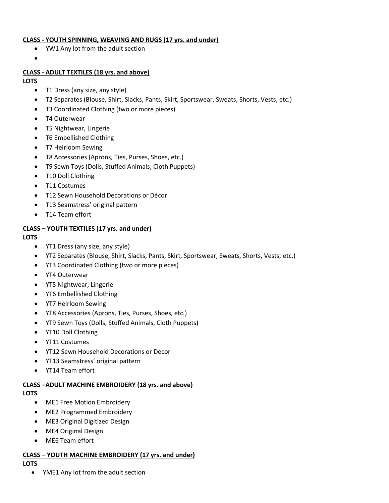#### **CLASS - YOUTH SPINNING, WEAVING AND RUGS (17 yrs. and under)**

- YW1 Any lot from the adult section
- •

#### **CLASS - ADULT TEXTILES (18 yrs. and above)**

#### **LOTS**

- T1 Dress (any size, any style)
- T2 Separates (Blouse, Shirt, Slacks, Pants, Skirt, Sportswear, Sweats, Shorts, Vests, etc.)
- T3 Coordinated Clothing (two or more pieces)
- T4 Outerwear
- T5 Nightwear, Lingerie
- T6 Embellished Clothing
- T7 Heirloom Sewing
- T8 Accessories (Aprons, Ties, Purses, Shoes, etc.)
- T9 Sewn Toys (Dolls, Stuffed Animals, Cloth Puppets)
- T10 Doll Clothing
- T11 Costumes
- T12 Sewn Household Decorations or Décor
- T13 Seamstress' original pattern
- T14 Team effort

#### **CLASS – YOUTH TEXTILES (17 yrs. and under)**

#### **LOTS**

- YT1 Dress (any size, any style)
- YT2 Separates (Blouse, Shirt, Slacks, Pants, Skirt, Sportswear, Sweats, Shorts, Vests, etc.)
- YT3 Coordinated Clothing (two or more pieces)
- YT4 Outerwear
- YT5 Nightwear, Lingerie
- YT6 Embellished Clothing
- YT7 Heirloom Sewing
- YT8 Accessories (Aprons, Ties, Purses, Shoes, etc.)
- YT9 Sewn Toys (Dolls, Stuffed Animals, Cloth Puppets)
- YT10 Doll Clothing
- YT11 Costumes
- YT12 Sewn Household Decorations or Décor
- YT13 Seamstress' original pattern
- YT14 Team effort

#### **CLASS –ADULT MACHINE EMBROIDERY (18 yrs. and above)**

#### **LOTS**

- ME1 Free Motion Embroidery
- ME2 Programmed Embroidery
- ME3 Original Digitized Design
- ME4 Original Design
- ME6 Team effort

#### **CLASS – YOUTH MACHINE EMBROIDERY (17 yrs. and under) LOTS**

• YME1 Any lot from the adult section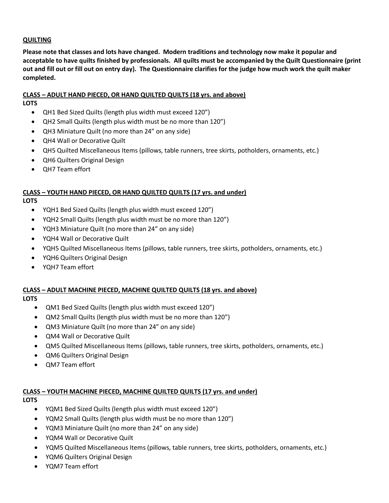#### **QUILTING**

**Please note that classes and lots have changed. Modern traditions and technology now make it popular and acceptable to have quilts finished by professionals. All quilts must be accompanied by the Quilt Questionnaire (print out and fill out or fill out on entry day). The Questionnaire clarifies for the judge how much work the quilt maker completed.** 

#### **CLASS – ADULT HAND PIECED, OR HAND QUILTED QUILTS (18 yrs. and above)**

#### **LOTS**

- QH1 Bed Sized Quilts (length plus width must exceed 120")
- QH2 Small Quilts (length plus width must be no more than 120")
- QH3 Miniature Quilt (no more than 24" on any side)
- QH4 Wall or Decorative Quilt
- QH5 Quilted Miscellaneous Items (pillows, table runners, tree skirts, potholders, ornaments, etc.)
- QH6 Quilters Original Design
- QH7 Team effort

#### **CLASS – YOUTH HAND PIECED, OR HAND QUILTED QUILTS (17 yrs. and under)**

**LOTS**

- YQH1 Bed Sized Quilts (length plus width must exceed 120")
- YQH2 Small Quilts (length plus width must be no more than 120")
- YQH3 Miniature Quilt (no more than 24" on any side)
- YQH4 Wall or Decorative Quilt
- YQH5 Quilted Miscellaneous Items (pillows, table runners, tree skirts, potholders, ornaments, etc.)
- YQH6 Quilters Original Design
- YQH7 Team effort

#### **CLASS – ADULT MACHINE PIECED, MACHINE QUILTED QUILTS (18 yrs. and above)**

**LOTS**

- QM1 Bed Sized Quilts (length plus width must exceed 120")
- QM2 Small Quilts (length plus width must be no more than 120")
- QM3 Miniature Quilt (no more than 24" on any side)
- QM4 Wall or Decorative Quilt
- QM5 Quilted Miscellaneous Items (pillows, table runners, tree skirts, potholders, ornaments, etc.)
- QM6 Quilters Original Design
- QM7 Team effort

# **CLASS – YOUTH MACHINE PIECED, MACHINE QUILTED QUILTS (17 yrs. and under)**

- YQM1 Bed Sized Quilts (length plus width must exceed 120")
- YQM2 Small Quilts (length plus width must be no more than 120")
- YQM3 Miniature Quilt (no more than 24" on any side)
- YQM4 Wall or Decorative Quilt
- YQM5 Quilted Miscellaneous Items (pillows, table runners, tree skirts, potholders, ornaments, etc.)
- YQM6 Quilters Original Design
- YQM7 Team effort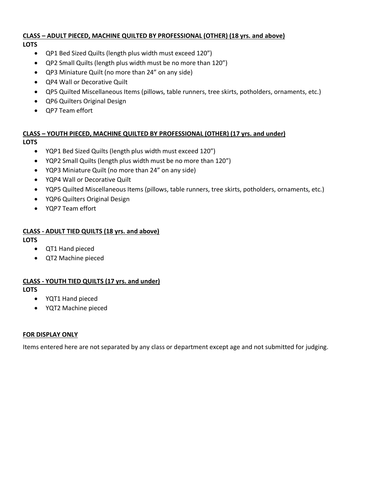# **CLASS – ADULT PIECED, MACHINE QUILTED BY PROFESSIONAL (OTHER) (18 yrs. and above)**

- **LOTS**
	- QP1 Bed Sized Quilts (length plus width must exceed 120")
	- QP2 Small Quilts (length plus width must be no more than 120")
	- QP3 Miniature Quilt (no more than 24" on any side)
	- QP4 Wall or Decorative Quilt
	- QP5 Quilted Miscellaneous Items (pillows, table runners, tree skirts, potholders, ornaments, etc.)
	- QP6 Quilters Original Design
	- QP7 Team effort

# **CLASS – YOUTH PIECED, MACHINE QUILTED BY PROFESSIONAL (OTHER) (17 yrs. and under)**

# **LOTS**

- YQP1 Bed Sized Quilts (length plus width must exceed 120")
- YQP2 Small Quilts (length plus width must be no more than 120")
- YQP3 Miniature Quilt (no more than 24" on any side)
- YQP4 Wall or Decorative Quilt
- YQP5 Quilted Miscellaneous Items (pillows, table runners, tree skirts, potholders, ornaments, etc.)
- YQP6 Quilters Original Design
- YQP7 Team effort

# **CLASS - ADULT TIED QUILTS (18 yrs. and above)**

# **LOTS**

- QT1 Hand pieced
- QT2 Machine pieced

# **CLASS - YOUTH TIED QUILTS (17 yrs. and under)**

**LOTS**

- YQT1 Hand pieced
- YQT2 Machine pieced

# **FOR DISPLAY ONLY**

Items entered here are not separated by any class or department except age and not submitted for judging.